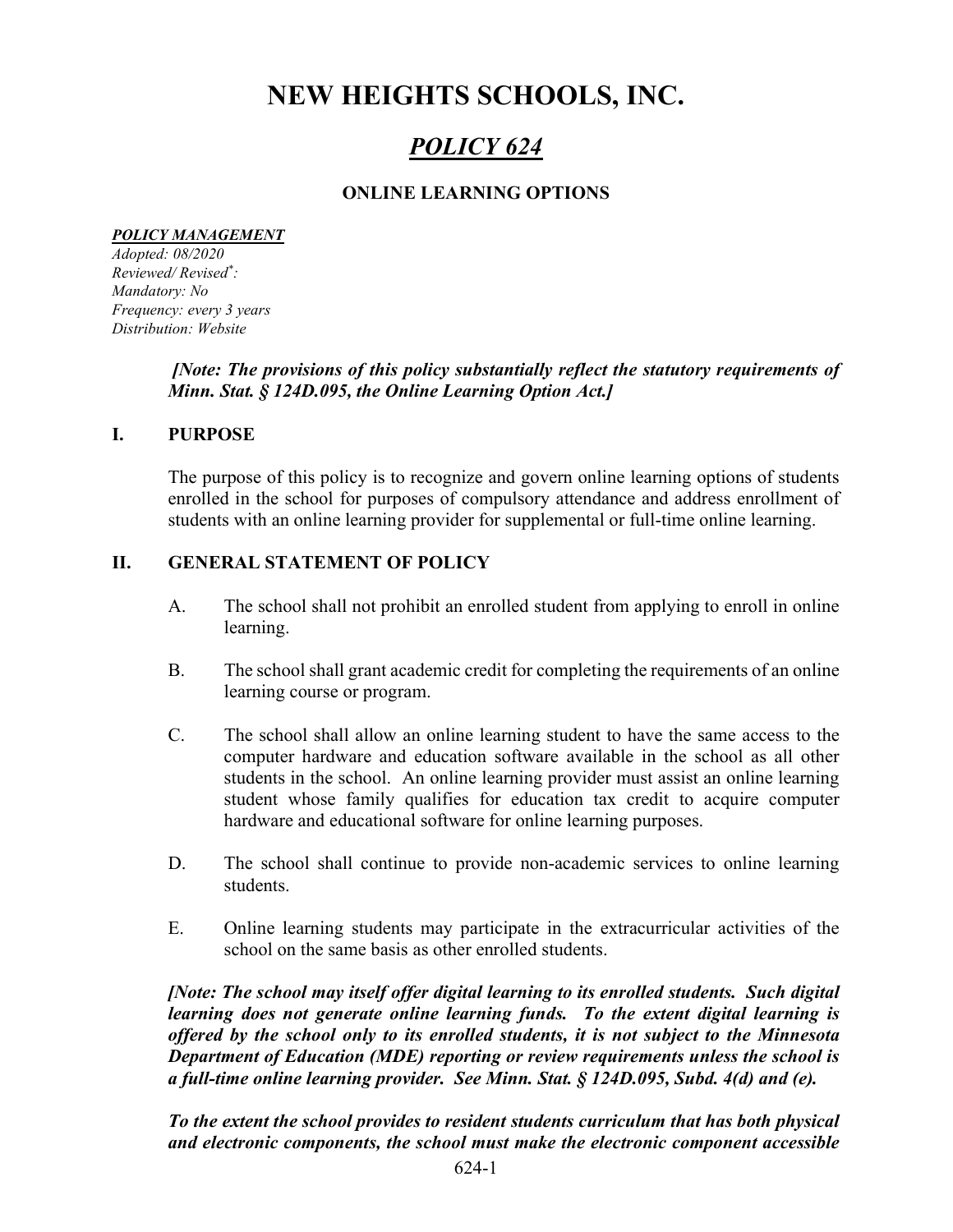# NEW HEIGHTS SCHOOLS, INC.

## POLICY 624

## ONLINE LEARNING OPTIONS

#### POLICY MANAGEMENT

Adopted: 08/2020 Reviewed/ Revised\* : Mandatory: No Frequency: every 3 years Distribution: Website

## [Note: The provisions of this policy substantially reflect the statutory requirements of Minn. Stat. § 124D.095, the Online Learning Option Act.]

#### I. PURPOSE

The purpose of this policy is to recognize and govern online learning options of students enrolled in the school for purposes of compulsory attendance and address enrollment of students with an online learning provider for supplemental or full-time online learning.

#### II. GENERAL STATEMENT OF POLICY

- A. The school shall not prohibit an enrolled student from applying to enroll in online learning.
- B. The school shall grant academic credit for completing the requirements of an online learning course or program.
- C. The school shall allow an online learning student to have the same access to the computer hardware and education software available in the school as all other students in the school. An online learning provider must assist an online learning student whose family qualifies for education tax credit to acquire computer hardware and educational software for online learning purposes.
- D. The school shall continue to provide non-academic services to online learning students.
- E. Online learning students may participate in the extracurricular activities of the school on the same basis as other enrolled students.

[Note: The school may itself offer digital learning to its enrolled students. Such digital learning does not generate online learning funds. To the extent digital learning is offered by the school only to its enrolled students, it is not subject to the Minnesota Department of Education (MDE) reporting or review requirements unless the school is a full-time online learning provider. See Minn. Stat. § 124D.095, Subd. 4(d) and (e).

To the extent the school provides to resident students curriculum that has both physical and electronic components, the school must make the electronic component accessible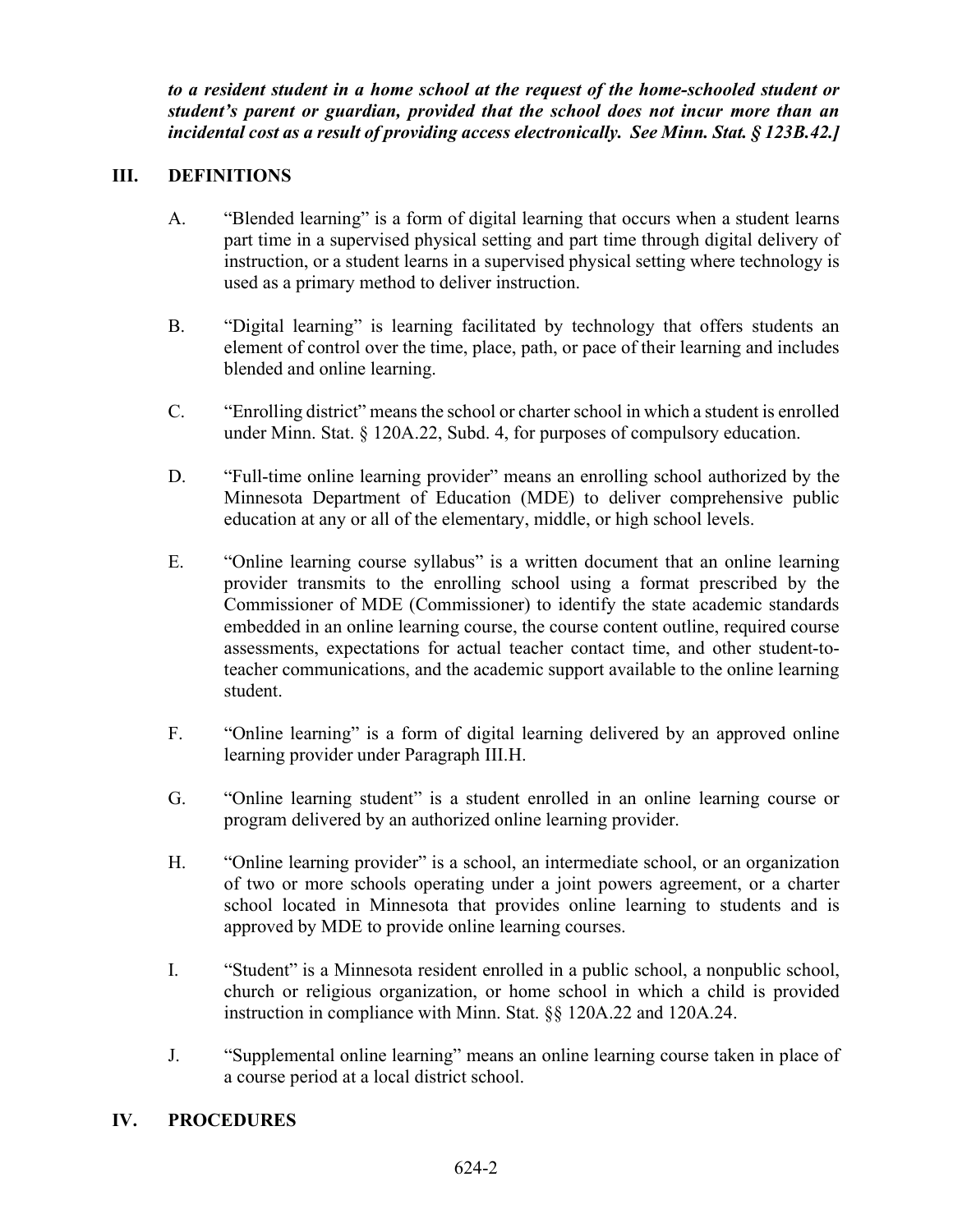to a resident student in a home school at the request of the home-schooled student or student's parent or guardian, provided that the school does not incur more than an incidental cost as a result of providing access electronically. See Minn. Stat. § 123B.42.]

## III. DEFINITIONS

- A. "Blended learning" is a form of digital learning that occurs when a student learns part time in a supervised physical setting and part time through digital delivery of instruction, or a student learns in a supervised physical setting where technology is used as a primary method to deliver instruction.
- B. "Digital learning" is learning facilitated by technology that offers students an element of control over the time, place, path, or pace of their learning and includes blended and online learning.
- C. "Enrolling district" means the school or charter school in which a student is enrolled under Minn. Stat. § 120A.22, Subd. 4, for purposes of compulsory education.
- D. "Full-time online learning provider" means an enrolling school authorized by the Minnesota Department of Education (MDE) to deliver comprehensive public education at any or all of the elementary, middle, or high school levels.
- E. "Online learning course syllabus" is a written document that an online learning provider transmits to the enrolling school using a format prescribed by the Commissioner of MDE (Commissioner) to identify the state academic standards embedded in an online learning course, the course content outline, required course assessments, expectations for actual teacher contact time, and other student-toteacher communications, and the academic support available to the online learning student.
- F. "Online learning" is a form of digital learning delivered by an approved online learning provider under Paragraph III.H.
- G. "Online learning student" is a student enrolled in an online learning course or program delivered by an authorized online learning provider.
- H. "Online learning provider" is a school, an intermediate school, or an organization of two or more schools operating under a joint powers agreement, or a charter school located in Minnesota that provides online learning to students and is approved by MDE to provide online learning courses.
- I. "Student" is a Minnesota resident enrolled in a public school, a nonpublic school, church or religious organization, or home school in which a child is provided instruction in compliance with Minn. Stat. §§ 120A.22 and 120A.24.
- J. "Supplemental online learning" means an online learning course taken in place of a course period at a local district school.

## IV. PROCEDURES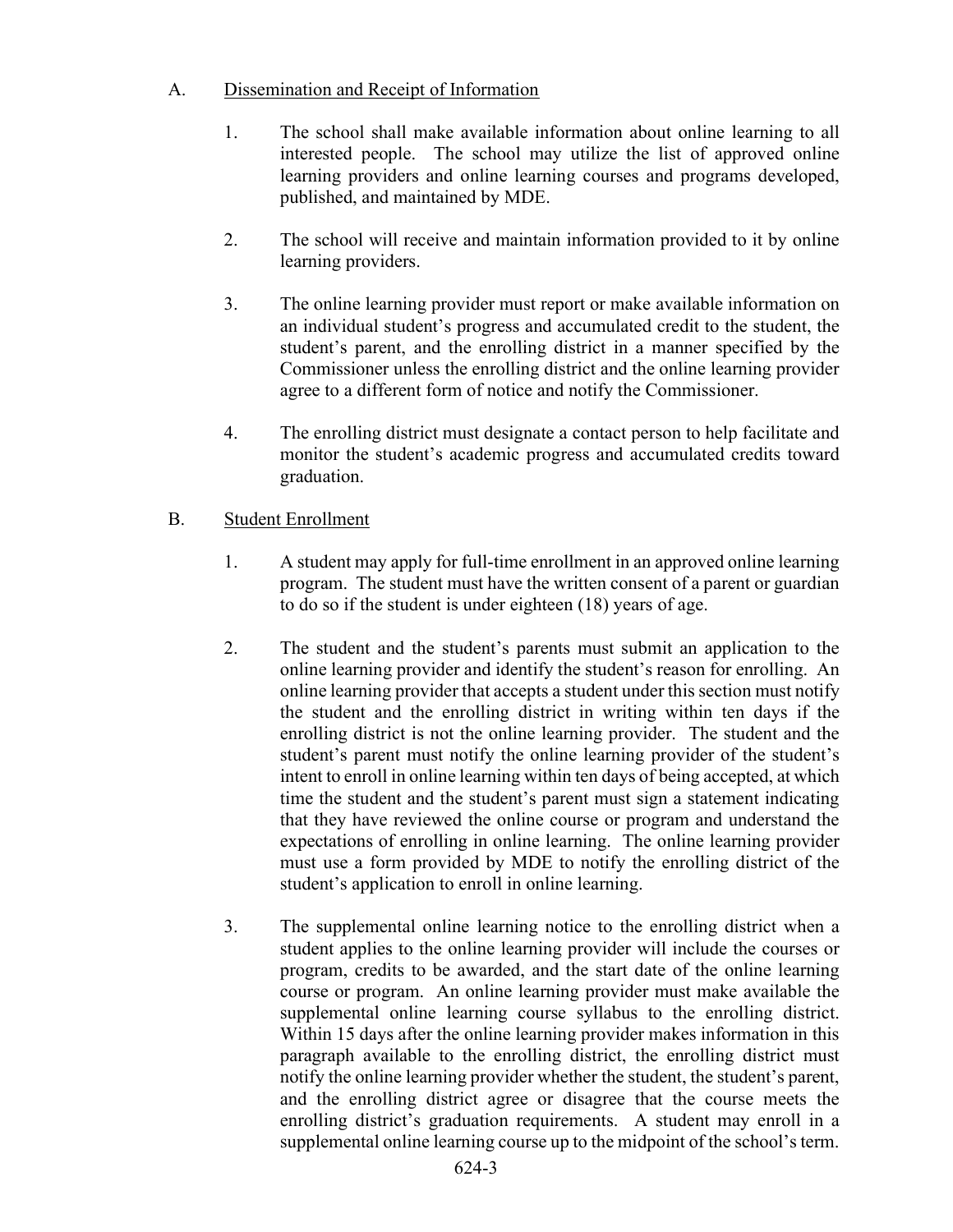## A. Dissemination and Receipt of Information

- 1. The school shall make available information about online learning to all interested people. The school may utilize the list of approved online learning providers and online learning courses and programs developed, published, and maintained by MDE.
- 2. The school will receive and maintain information provided to it by online learning providers.
- 3. The online learning provider must report or make available information on an individual student's progress and accumulated credit to the student, the student's parent, and the enrolling district in a manner specified by the Commissioner unless the enrolling district and the online learning provider agree to a different form of notice and notify the Commissioner.
- 4. The enrolling district must designate a contact person to help facilitate and monitor the student's academic progress and accumulated credits toward graduation.

## B. Student Enrollment

- 1. A student may apply for full-time enrollment in an approved online learning program. The student must have the written consent of a parent or guardian to do so if the student is under eighteen (18) years of age.
- 2. The student and the student's parents must submit an application to the online learning provider and identify the student's reason for enrolling. An online learning provider that accepts a student under this section must notify the student and the enrolling district in writing within ten days if the enrolling district is not the online learning provider. The student and the student's parent must notify the online learning provider of the student's intent to enroll in online learning within ten days of being accepted, at which time the student and the student's parent must sign a statement indicating that they have reviewed the online course or program and understand the expectations of enrolling in online learning. The online learning provider must use a form provided by MDE to notify the enrolling district of the student's application to enroll in online learning.
- 3. The supplemental online learning notice to the enrolling district when a student applies to the online learning provider will include the courses or program, credits to be awarded, and the start date of the online learning course or program. An online learning provider must make available the supplemental online learning course syllabus to the enrolling district. Within 15 days after the online learning provider makes information in this paragraph available to the enrolling district, the enrolling district must notify the online learning provider whether the student, the student's parent, and the enrolling district agree or disagree that the course meets the enrolling district's graduation requirements. A student may enroll in a supplemental online learning course up to the midpoint of the school's term.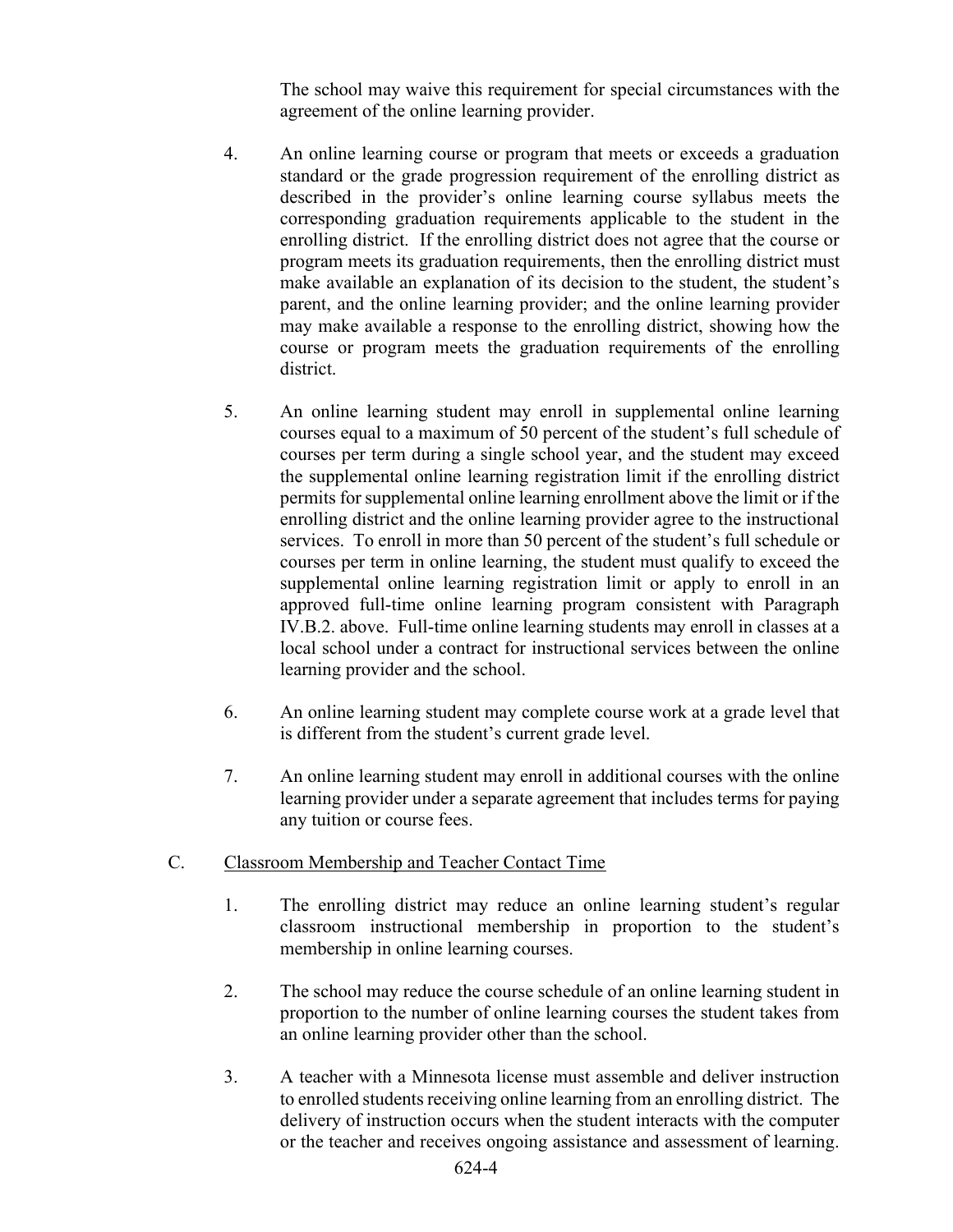The school may waive this requirement for special circumstances with the agreement of the online learning provider.

- 4. An online learning course or program that meets or exceeds a graduation standard or the grade progression requirement of the enrolling district as described in the provider's online learning course syllabus meets the corresponding graduation requirements applicable to the student in the enrolling district. If the enrolling district does not agree that the course or program meets its graduation requirements, then the enrolling district must make available an explanation of its decision to the student, the student's parent, and the online learning provider; and the online learning provider may make available a response to the enrolling district, showing how the course or program meets the graduation requirements of the enrolling district.
- 5. An online learning student may enroll in supplemental online learning courses equal to a maximum of 50 percent of the student's full schedule of courses per term during a single school year, and the student may exceed the supplemental online learning registration limit if the enrolling district permits for supplemental online learning enrollment above the limit or if the enrolling district and the online learning provider agree to the instructional services. To enroll in more than 50 percent of the student's full schedule or courses per term in online learning, the student must qualify to exceed the supplemental online learning registration limit or apply to enroll in an approved full-time online learning program consistent with Paragraph IV.B.2. above. Full-time online learning students may enroll in classes at a local school under a contract for instructional services between the online learning provider and the school.
- 6. An online learning student may complete course work at a grade level that is different from the student's current grade level.
- 7. An online learning student may enroll in additional courses with the online learning provider under a separate agreement that includes terms for paying any tuition or course fees.
- C. Classroom Membership and Teacher Contact Time
	- 1. The enrolling district may reduce an online learning student's regular classroom instructional membership in proportion to the student's membership in online learning courses.
	- 2. The school may reduce the course schedule of an online learning student in proportion to the number of online learning courses the student takes from an online learning provider other than the school.
	- 3. A teacher with a Minnesota license must assemble and deliver instruction to enrolled students receiving online learning from an enrolling district. The delivery of instruction occurs when the student interacts with the computer or the teacher and receives ongoing assistance and assessment of learning.